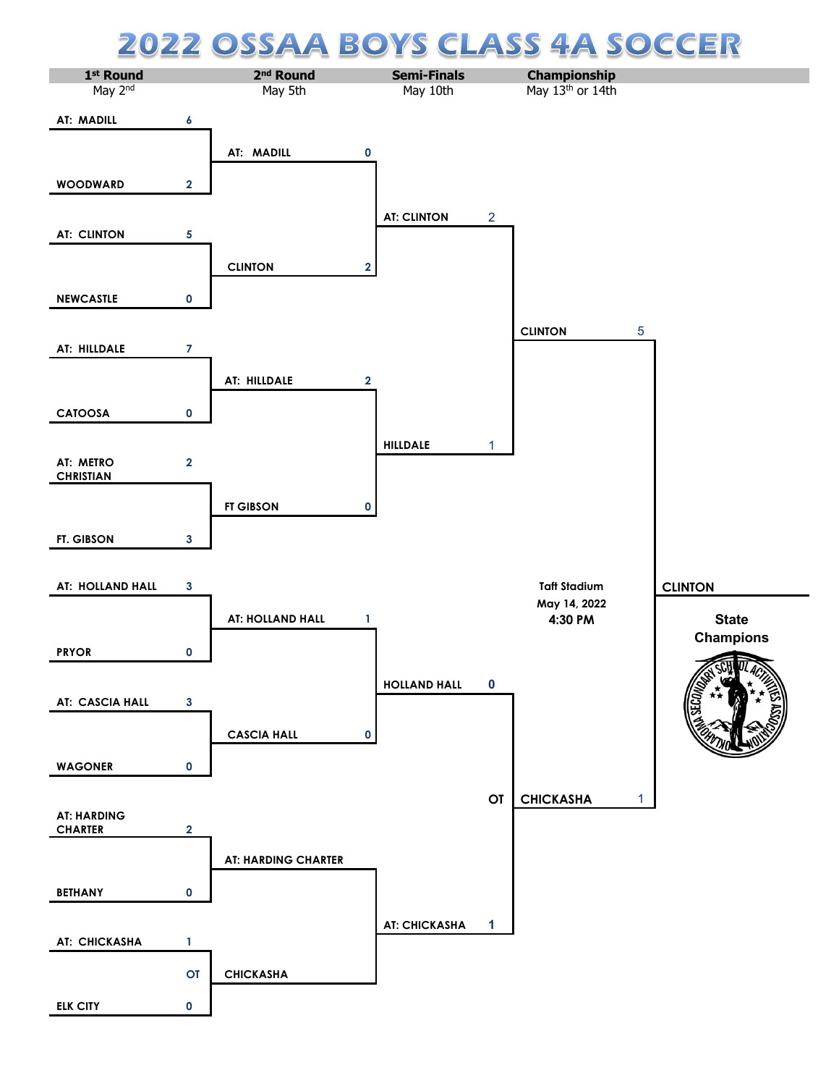## **CLASS 4A SOCCER 22 OSSA** A BOYS